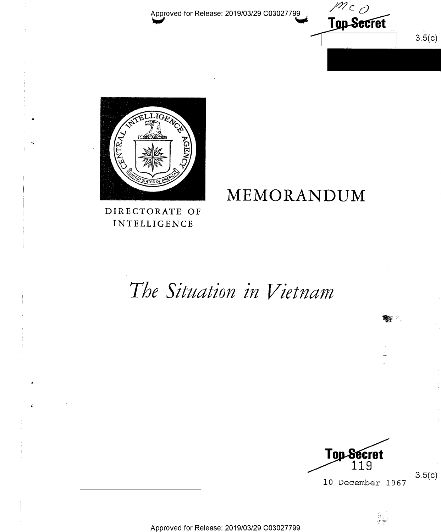Approved for Release: 2019/03/29 C03027799





DIRECTORATE OF **INTELLIGENCE** 

## MEMORANDUM

# The Situation in Vietnam



10 December 1967

 $3.5(c)$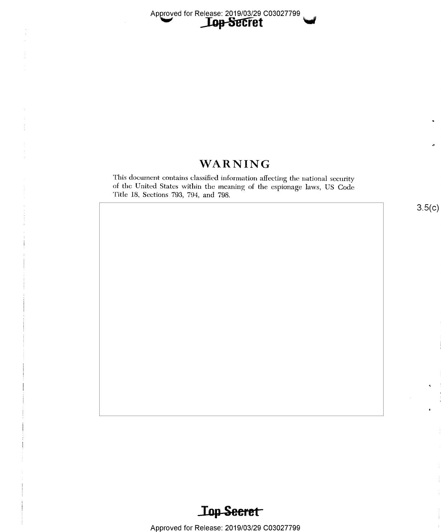### **WARNING**

This document contains classified information affecting the national security of the United States within the meaning of the espionage laws, US Code Title 18, Sections 793, 794, and 798.

 $3.5(c)$ 

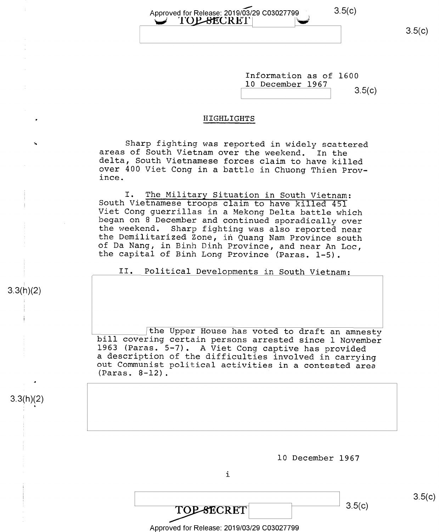$3.5(c)$ 

 $3.5(c)$ 

Information as of 1600 10 December 1967 3.5(c)

### HIGHLIGHTS

Approved for Release: 2019/03/29 C03027799

U TOPSECRET

Sharp fighting was reported in widely scattered areas of South Vietnam over the weekend. In the delta, South Vietnamese forces claim to have killed over 400 Viet Cong in a battle in Chuong Thien Prov- ince.

I. The Military Situation in South Vietnam:<br>South Vietnamese troops claim to have killed 451<br>Viet Cong guerrillas in a Mekong Delta battle which<br>began on 8 December and continued sporadically over<br>the weekend. Sharp fighti

II. Political Developments in South Vietnam:

the Upper House has voted to draft an amnesty<br>bill covering certain persons arrested since 1 November<br>1963 (Paras. 5-7). A Viet Cong captive has provided<br>a description of the difficulties involved in carrying<br>out Communist

3.3(h)(2)

4

 $3.3(h)(2)$ 

u

K

l0 December 1967

i

Approved for Release: 2019/03/29 C03027799

 $\overline{TOP-SCRET}$  3.5(c)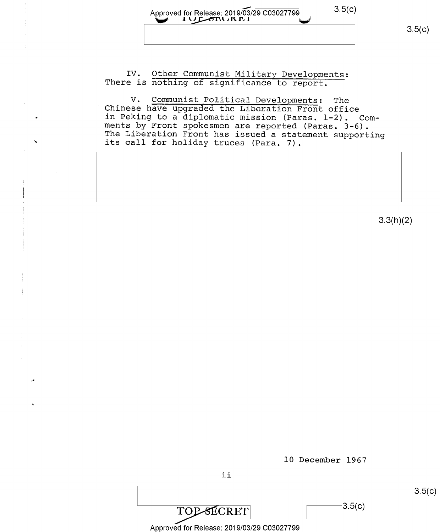| Approved for Release: 2019/03/29 C03027799 | 3.5(c) |
|--------------------------------------------|--------|
|                                            |        |
|                                            |        |

IV. Other Communist Military Developments: There is nothing of significance to report.

V. Communist Political Developments: The<br>Chinese have upgraded the Liberation Front office<br>in Peking to a diplomatic mission (Paras. 1-2). Comin Pecing to a diplomatic mission (Paras. 1-2).<br>
The Liberation Front has issued a statement supporting<br>
its call for holiday truces (Para. 7).

3.3(h)(2)



10 December 1967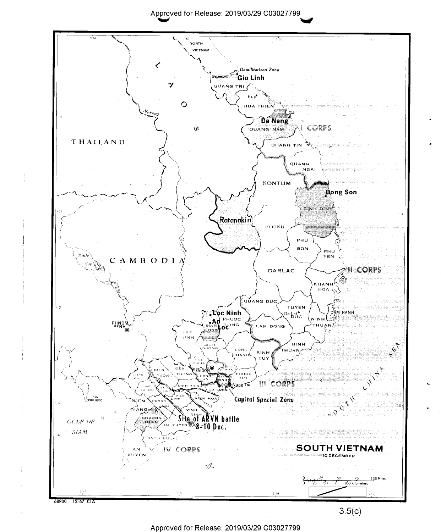

Approved for Release: 2019/03/29 C03027799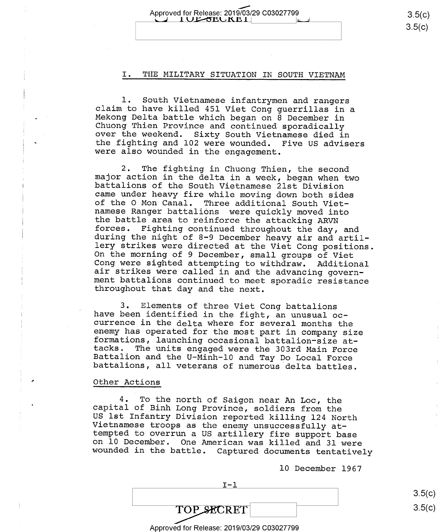Approved for Release: 2019/03/29 C03027799 3.5(C) 3.5(C)

### I. THE MILITARY SITUATION IN SOUTH VIETNAM

1. South Vietnamese infantrymen and rangers<br>claim to have killed 451 Viet Cong guerrillas in a<br>Mekong Delta battle which began on 8 December in<br>Chuong Thien Province and continued sporadically<br>over the weekend. Sixty South

2. The fighting in Chuong Thien, the second<br>major action in the delta in a week, began when two<br>battalions of the South Vietnamese 21st Division<br>came under heavy fire while moving down both sides<br>of the 0 Mon Canal. Three

3. Elements of three Viet Cong battalions<br>have been identified in the fight, an unusual oc-<br>currence in the delta where for several months the<br>enemy has operated for the most part in company size<br>formations, launching occa

#### Other Actions

4. To the north of Saigon near An Loc, the<br>capital of Binh Long Province, soldiers from the<br>US 1st Infantry Division reported killing 124 North<br>Vietnamese troops as the enemy unsuccessfully at-<br>tempted to overrun a US arti

10 December 1967

 $I-1$ 

 $3.5(c$  $3.5(c$ 

 $3.5(c)$ 

Approved for Release: 2019/03/29 C03027799

TOP SECRET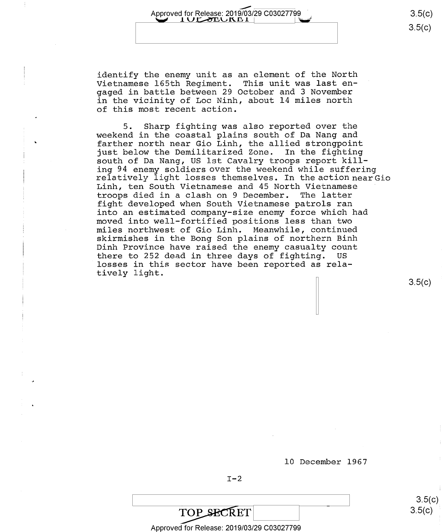Approved for Release: 2019/03/29 C03027799 3.5(C)<br>  $\begin{array}{|c|c|c|c|c|}\n\hline\n\textbf{1} & \textbf{0} & \textbf{3.5(c)}\n\hline\n\textbf{2} & \textbf{5(c)} & & & & & & & & & & & 3.5(c)\n\hline\n\textbf{3} & \textbf{5} & \textbf{0} & \textbf{1} & \textbf{1} & \textbf{1} & \textbf{1} & \textbf{1} & \textbf{1} & \textbf{1} & \textbf{1} & \textbf{1}$ 

 $3.5(c)$ 

identify the enemy unit as an element of the North Vietnamese 165th Regiment. This unit was last engaged in battle between 29 October and 3 November in the vicinity of Loc Ninh, about 14 miles north of this most recent action.

5. Sharp fighting was also reported over the weekend in the coastal plains south of Da Nang and farther north near Gio Linh, the allied strongpoint just below the Demilitarized Zone. In the fighting south of Da Nang, US lst Cavalry troops report kill-<br>ing 94 enemy soldiers over the weekend while suffering relatively light losses themselves. In the action nearGio Linh, ten South Vietnamese and 45 North Vietnamese troops died in a clash on 9 December. fight developed when South Vietnamese patrols ran into an estimated company—size enemy force which had moved into well-fortified positions less than two miles northwest of Gio Linh. Meanwhile, continued skirmishes in the Bong Son plains of northern Binh Dinh Province have raised the enemy casualty count<br>there to 252 dead in three days of fighting. US there to 252 dead in three days of fighting. losses in this sector have been reported as relatively light.

3.5(c)

 $3.5 (c)$ 

l0 December 1967

 $\overline{\hspace{1cm}}$  3.5(c)

 $I-2$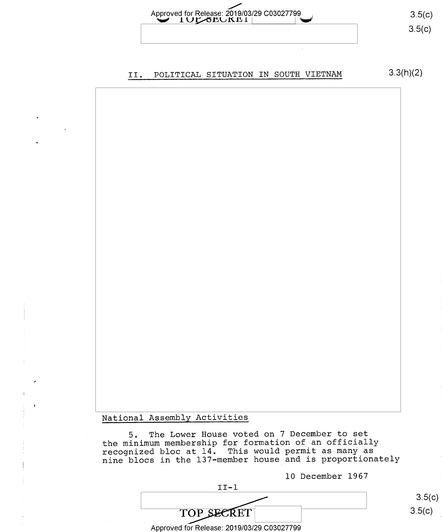

### II. POLITICAL SITUATION IN SOUTH VIETNAM 3.3(h)(2)

National Assembly Activities

5. The Lower House voted on 7 December to set the minimum membership for formation of an officially recognized bloc at l4. This would permit as many as nine blocs in the l37-member house and is proportionately

l0 December l967

II—l TOP SECRET 3.5(c) Approved for Release: 2019/03/29 C03027799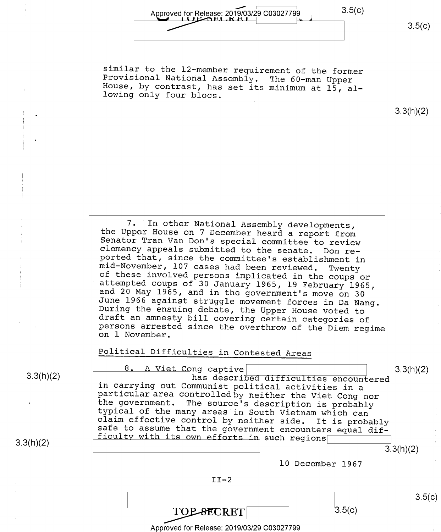Approved for Release: 2019/03/29 C03027799 . [' 3.5(C) 3.5(c)

similar to the 12—member requirement of the former Provisional National Assembly. The 60—man Upper House, by contrast, has set its minimum at 15, al- lowing only four blocs.

3.3(h)(2)

7. In other National Assembly developments,<br>the Upper House on 7 December heard a report from<br>Senator Tran Van Don's special committee to review<br>clemency appeals submitted to the senate. Don re-<br>ported that, since the comm

### Political Difficulties in Contested Areas

3.3(h)(2)

8. A Viet Cong captive<br>
has described difficulties encountered<br>  $\begin{array}{c|c} 3.3(h)(2) \end{array}$ in carrying out Communist political activities in a<br>particular area controlled by neither the Viet Cong nor<br>the government. The source's description is probably<br>typical of the many areas in South Vietnam which can<br>claim ef

3.3(h)(2)



 $\text{TOP-SECTION}$  3.5(c)

l0 December 1967

Approved for Release: 2019/03/29 C03027799

 $3.5(c)$ 

3.3(h)(2)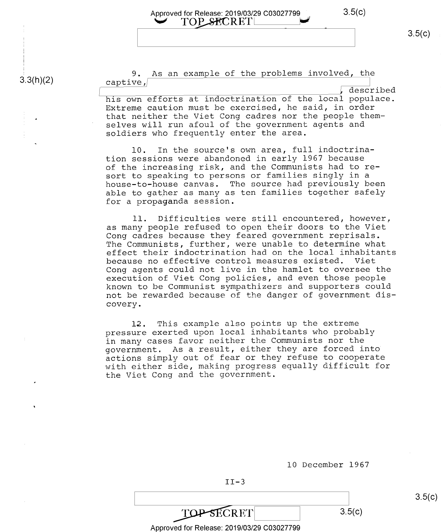## Approved for Release: 2019/03/29 C03027799 3.5(C)<br>
TOP SECRET

 $3.3(h)(2)$ 

9. As an example of the problems involved, the captive,

\_ described his own efforts at indoctrination of the local populace. Extreme caution must be exercised, he said, in order that neither the Viet Cong cadres nor the people themselves will run afoul of the government agents and soldiers who frequently enter the area.

l0. In the source's own area, full indoctrination sessions were abandoned in early 1967 because of the increasing risk, and the Communists had to resort to speaking to persons or families singly in a house—to—house canvas. The source had previously been able to gather as many as ten families together safely for a propaganda session.

ll. Difficulties were still encountered, however, as many people refused to open their doors to the Viet Cong cadres because they feared government reprisals. The Communists, further, were unable to determine what effect their indoctrination had on the local inhabitants because no effective control measures existed. Viet Cong agents could not live in the hamlet to oversee the execution of Viet Cong policies, and even those people known to be Communist sympathizers and supporters could not be rewarded because of the danger of government discovery.

l2. This example also points up the extreme pressure exerted upon local inhabitants who probably in many cases favor neither the Communists nor the government. As a result, either they are forced into actions simply out of fear or they refuse to cooperate with either side, making progress equally difficult for the Viet Cong and the government.

| <b>SECRET</b>                              | 3.5(c) |
|--------------------------------------------|--------|
| Approved for Release: 2019/03/29 C03027799 |        |

 $II-3$ 

l0 December 1967

 $3.5(c)$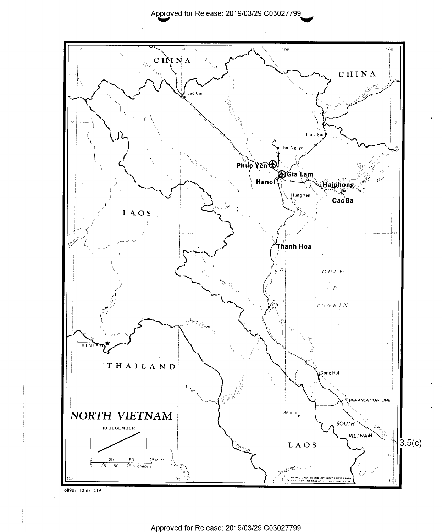

68901 12-67 CIA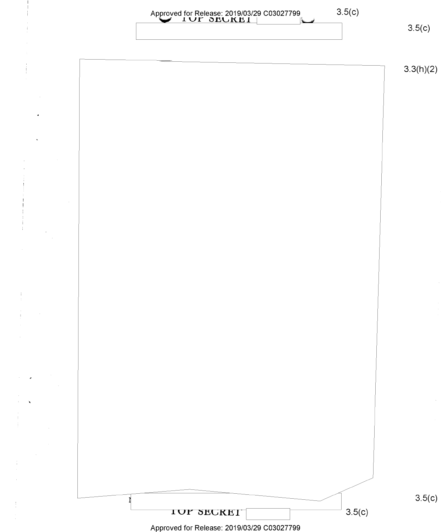

Approved for Release: 2019/03/29 C03027799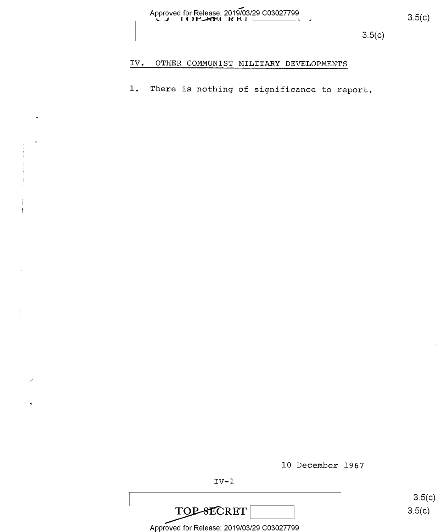| Approved for Release: 2019/03/29 C03027799 |  |
|--------------------------------------------|--|
|                                            |  |
|                                            |  |
|                                            |  |

 $3.5(c)$ 

#### OTHER COMMUNIST MILITARY DEVELOPMENTS IV.

There is nothing of significance to report.  $1.$ 

10 December 1967

**TOP-SECRET** 

Approved for Release: 2019/03/29 C03027799

 $3.5(c)$ 

 $3.5(c)$  $3.5(c)$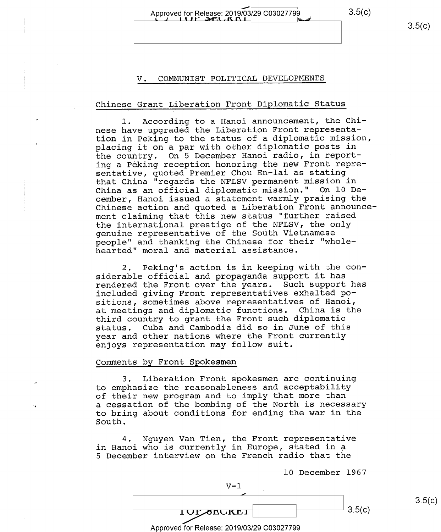Approved for Release: 2019/03/29 C03027799 3.5(c)

### V. COMMUNIST POLITICAL DEVELOPMENTS

### Chinese Grant Liberation Front Diplomatic Status

l. According to a Hanoi announcement, the Chinese have upgraded the Liberation Front representation in Peking to the status of a diplomatic mission, placing it on a par with other diplomatic posts in the country. On 5 December Hanoi radio, in reporting a Peking reception honoring the new Front representative, quoted Premier Chou En-lai as stating that China "regards the NFLSV permanent mission in China as an official diplomatic mission." On l0 December, Hanoi issued a statement warmly praising the Chinese action and quoted a Liberation Front announcement claiming that this new status "further raised the international prestige of the NFLSV, the only genuine representative of the South Vietnamese people" and thanking the Chinese for their "wholehearted" moral and material assistance.

2. Peking's action is in keeping with the considerable official and propaganda support it has rendered the Front over the years. Such support has included giving Front representatives exhalted positions, sometimes above representatives of Hanoi, at meetings and diplomatic functions. China is the third country to grant the Front such diplomatic status. Cuba and Cambodia did so in June of this year and other nations where the Front currently enjoys representation may follow suit.

#### Comments by Front Spokesmen

3. Liberation Front spokesmen are continuing to emphasize the reasonableness and acceptability of their new program and to imply that more than a cessation of the bombing of the North is necessary to bring about conditions for ending the war in the South.

4. Nguyen Van Tien, the Front representative in Hanoi who is currently in Europe, stated in a <sup>5</sup>December interview on the French radio that the

V-1

 $10Y$ zecke $1$   $2.5(c)$ 

l0 December 1967

 $3.5(c)$ 

 $3.5(c)$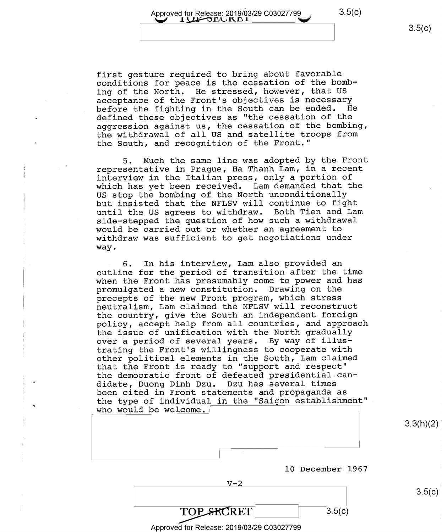Approved for Release:  $2019/03/29$  C03027799 3.5(C)  $1$ UF DEUREI

first gesture required to bring about favorable conditions for peace is the cessation of the bombing of the North. He stressed, however, that US acceptance of the Front's objectives is necessary before the fighting in the South can be ended. He defined these objectives as "the cessation of the aggression against us, the cessation of the bombing, the withdrawal of all US and satellite troops from the South, and recognition of the Front."

5. Much the same line was adopted by the Front representative in Prague, Ha Thanh Lam, in a recent interview in the Italian press, only a portion of which has yet been received. Lam demanded that the US stop the bombing of the North unconditionally but insisted that the NFLSV will continue to fight until the US agrees to withdraw. Both Tien and Lam side—stepped the question of how such a withdrawal would be carried out or whether an agreement to withdraw was sufficient to get negotiations under way.

6. In his interview, Lam also provided an outline for the period of transition after the time when the Front has presumably come to power and has promulgated a new constitution. Drawing on the precepts of the new Front program, which stress neutralism, Lam claimed the NFLSV will reconstruct the country, give the South an independent foreign policy, accept help from all countries, and approach the issue of unification with the North gradually over a period of several years. By way of illustrating the Front's willingness to cooperate with other political elements in the South, Lam claimed that the Front is ready to "support and respect" the democratic front of defeated presidential can-<br>didate, Duong Dinh Dzu. Dzu has several times didate, Duong Dinh Dzu. been cited in Front statements and propaganda as the type of individual in the "Saigon establishment" who would be welcome./

 $3.3(h)(2)$ 

 $3.5(c)$ 

l0 December 1967

 $3.5(c)$ 

 $V-2$ 

Approved for Release: 2019/03/29 C03027799

**TOP SECRET**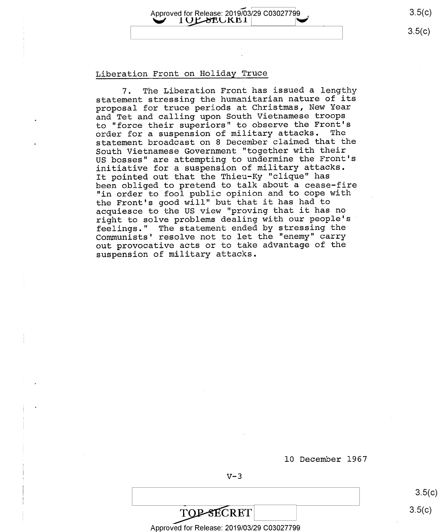Approved for Release: 2019/03/29 C03027799

### Liberation Front on Holiday Truce

7. The Liberation Front has issued a lengthy statement stressing the humanitarian nature of its proposal for truce periods at Christmas, New Year and Tet and calling upon South Vietnamese troops to "force their superiors" to observe the Front's<br>order for a suspension of military attacks. The order for a suspension of military attacks. statement broadcast on 8 December claimed that the South Vietnamese Government "together with their US bosses" are attempting to undermine the Front's initiative for a suspension of military attacks. It pointed out that the Thieu-Ky "clique" has been obliged to pretend to talk about a cease-fire "in order to fool public opinion and to cope with the Front's good will" but that it has had to acquiesce to the US view "proving that it has no right to solve problems dealing with our people's feelings." The statement ended by stressing the Communists' resolve not to let the "enemy" carry out provocative acts or to take advantage of the suspension of military attacks.

l0 December 1967

 $V-3$ 

 $3.5(c)$  $3.5(c)$ 

 $3.5(c)$ 

 $3.5(c)$ 

Approved for Release: 2019/03/29 C03027799

**TOP-SECRET**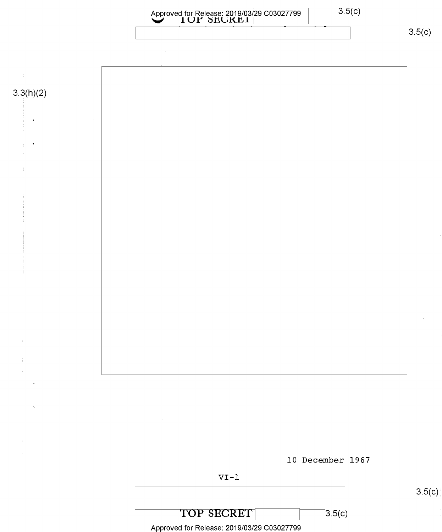